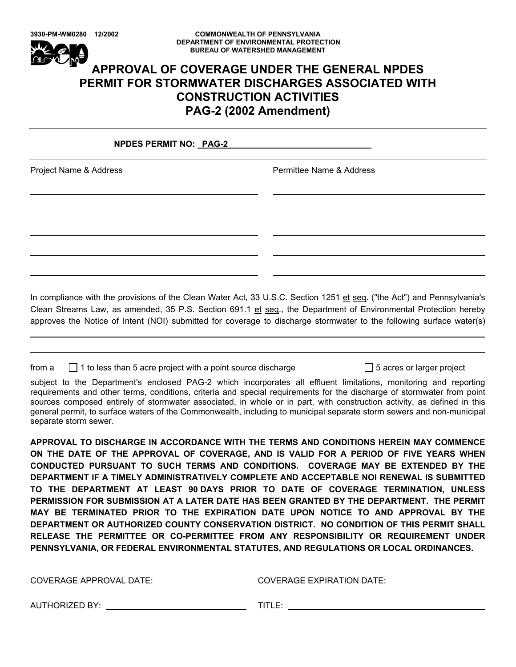#### **3930-PM-WM0280 12/2002 COMMONWEALTH OF PENNSYLVANIA DEPARTMENT OF ENVIRONMENTAL PROTECTION BUREAU OF WATERSHED MANAGEMENT**

# **APPROVAL OF COVERAGE UNDER THE GENERAL NPDES PERMIT FOR STORMWATER DISCHARGES ASSOCIATED WITH CONSTRUCTION ACTIVITIES PAG-2 (2002 Amendment)**

# **NPDES PERMIT NO: PAG-2**

 

Project Name & Address **Permittee Name & Address** 

In compliance with the provisions of the Clean Water Act, 33 U.S.C. Section 1251 et seq. ("the Act") and Pennsylvania's Clean Streams Law, as amended, 35 P.S. Section 691.1 et seq., the Department of Environmental Protection hereby approves the Notice of Intent (NOI) submitted for coverage to discharge stormwater to the following surface water(s)

from  $a \cap a$  1 to less than 5 acre project with a point source discharge  $\Box$  5 acres or larger project

subject to the Department's enclosed PAG-2 which incorporates all effluent limitations, monitoring and reporting requirements and other terms, conditions, criteria and special requirements for the discharge of stormwater from point sources composed entirely of stormwater associated, in whole or in part, with construction activity, as defined in this general permit, to surface waters of the Commonwealth, including to municipal separate storm sewers and non-municipal separate storm sewer.

**APPROVAL TO DISCHARGE IN ACCORDANCE WITH THE TERMS AND CONDITIONS HEREIN MAY COMMENCE ON THE DATE OF THE APPROVAL OF COVERAGE, AND IS VALID FOR A PERIOD OF FIVE YEARS WHEN CONDUCTED PURSUANT TO SUCH TERMS AND CONDITIONS. COVERAGE MAY BE EXTENDED BY THE DEPARTMENT IF A TIMELY ADMINISTRATIVELY COMPLETE AND ACCEPTABLE NOI RENEWAL IS SUBMITTED TO THE DEPARTMENT AT LEAST 90 DAYS PRIOR TO DATE OF COVERAGE TERMINATION, UNLESS PERMISSION FOR SUBMISSION AT A LATER DATE HAS BEEN GRANTED BY THE DEPARTMENT. THE PERMIT MAY BE TERMINATED PRIOR TO THE EXPIRATION DATE UPON NOTICE TO AND APPROVAL BY THE DEPARTMENT OR AUTHORIZED COUNTY CONSERVATION DISTRICT. NO CONDITION OF THIS PERMIT SHALL RELEASE THE PERMITTEE OR CO-PERMITTEE FROM ANY RESPONSIBILITY OR REQUIREMENT UNDER PENNSYLVANIA, OR FEDERAL ENVIRONMENTAL STATUTES, AND REGULATIONS OR LOCAL ORDINANCES.**

| <b>COVERAGE APPROVAL DATE:</b> | <b>COVERAGE EXPIRATION DATE:</b> |  |
|--------------------------------|----------------------------------|--|
|                                |                                  |  |
|                                |                                  |  |

AUTHORIZED BY: TITLE: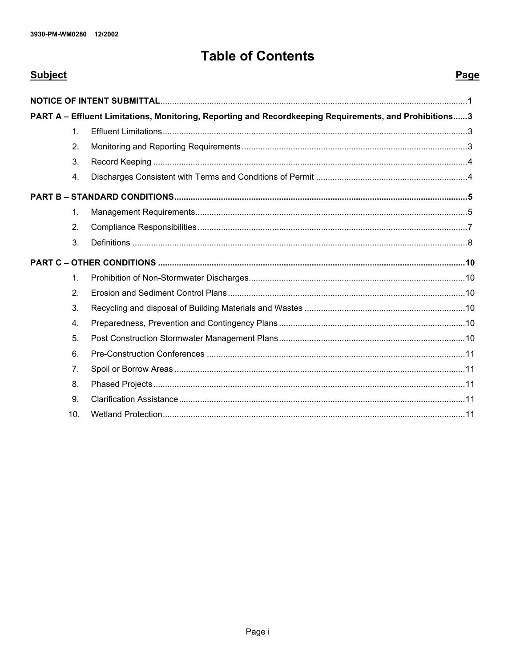# **Table of Contents**

| <b>Subject</b>  |                                                                                                         | Page |
|-----------------|---------------------------------------------------------------------------------------------------------|------|
|                 |                                                                                                         |      |
|                 | PART A - Effluent Limitations, Monitoring, Reporting and Recordkeeping Requirements, and Prohibitions 3 |      |
| 1 <sub>1</sub>  |                                                                                                         |      |
| 2.              |                                                                                                         |      |
| 3.              |                                                                                                         |      |
| 4.              |                                                                                                         |      |
|                 |                                                                                                         |      |
| $\mathbf{1}$ .  |                                                                                                         |      |
| 2.              |                                                                                                         |      |
| 3.              |                                                                                                         |      |
|                 |                                                                                                         |      |
| 1.              |                                                                                                         |      |
| 2.              |                                                                                                         |      |
| 3.              |                                                                                                         |      |
| 4.              |                                                                                                         |      |
| 5.              |                                                                                                         |      |
| 6.              |                                                                                                         |      |
| 7 <sub>1</sub>  |                                                                                                         |      |
| 8.              |                                                                                                         |      |
| 9.              |                                                                                                         |      |
| 10 <sub>1</sub> |                                                                                                         |      |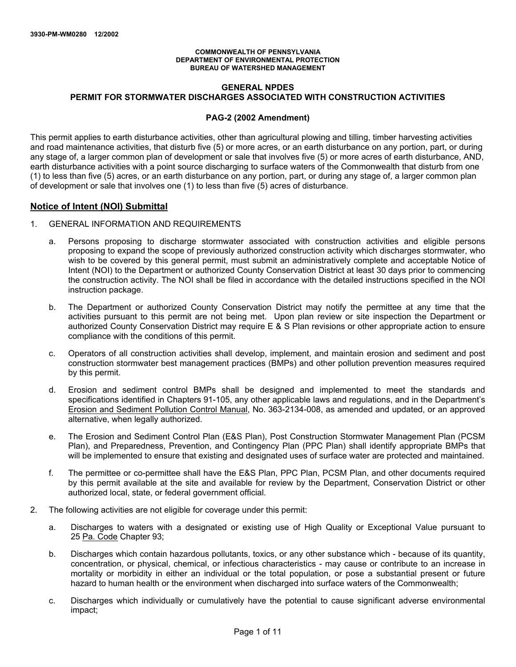#### **COMMONWEALTH OF PENNSYLVANIA DEPARTMENT OF ENVIRONMENTAL PROTECTION BUREAU OF WATERSHED MANAGEMENT**

# **GENERAL NPDES PERMIT FOR STORMWATER DISCHARGES ASSOCIATED WITH CONSTRUCTION ACTIVITIES**

#### **PAG-2 (2002 Amendment)**

This permit applies to earth disturbance activities, other than agricultural plowing and tilling, timber harvesting activities and road maintenance activities, that disturb five (5) or more acres, or an earth disturbance on any portion, part, or during any stage of, a larger common plan of development or sale that involves five (5) or more acres of earth disturbance, AND, earth disturbance activities with a point source discharging to surface waters of the Commonwealth that disturb from one (1) to less than five (5) acres, or an earth disturbance on any portion, part, or during any stage of, a larger common plan of development or sale that involves one (1) to less than five (5) acres of disturbance.

# **Notice of Intent (NOI) Submittal**

- 1. GENERAL INFORMATION AND REQUIREMENTS
	- a. Persons proposing to discharge stormwater associated with construction activities and eligible persons proposing to expand the scope of previously authorized construction activity which discharges stormwater, who wish to be covered by this general permit, must submit an administratively complete and acceptable Notice of Intent (NOI) to the Department or authorized County Conservation District at least 30 days prior to commencing the construction activity. The NOI shall be filed in accordance with the detailed instructions specified in the NOI instruction package.
	- b. The Department or authorized County Conservation District may notify the permittee at any time that the activities pursuant to this permit are not being met. Upon plan review or site inspection the Department or authorized County Conservation District may require E & S Plan revisions or other appropriate action to ensure compliance with the conditions of this permit.
	- c. Operators of all construction activities shall develop, implement, and maintain erosion and sediment and post construction stormwater best management practices (BMPs) and other pollution prevention measures required by this permit.
	- d. Erosion and sediment control BMPs shall be designed and implemented to meet the standards and specifications identified in Chapters 91-105, any other applicable laws and regulations, and in the Department's Erosion and Sediment Pollution Control Manual, No. 363-2134-008, as amended and updated, or an approved alternative, when legally authorized.
	- e. The Erosion and Sediment Control Plan (E&S Plan), Post Construction Stormwater Management Plan (PCSM Plan), and Preparedness, Prevention, and Contingency Plan (PPC Plan) shall identify appropriate BMPs that will be implemented to ensure that existing and designated uses of surface water are protected and maintained.
	- f. The permittee or co-permittee shall have the E&S Plan, PPC Plan, PCSM Plan, and other documents required by this permit available at the site and available for review by the Department, Conservation District or other authorized local, state, or federal government official.
- 2. The following activities are not eligible for coverage under this permit:
	- a. Discharges to waters with a designated or existing use of High Quality or Exceptional Value pursuant to 25 Pa. Code Chapter 93;
	- b. Discharges which contain hazardous pollutants, toxics, or any other substance which because of its quantity, concentration, or physical, chemical, or infectious characteristics - may cause or contribute to an increase in mortality or morbidity in either an individual or the total population, or pose a substantial present or future hazard to human health or the environment when discharged into surface waters of the Commonwealth;
	- c. Discharges which individually or cumulatively have the potential to cause significant adverse environmental impact;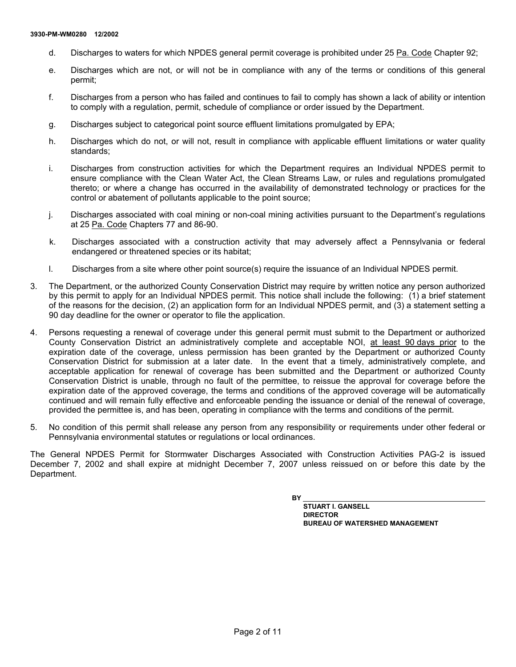- d. Discharges to waters for which NPDES general permit coverage is prohibited under 25 Pa. Code Chapter 92;
- e. Discharges which are not, or will not be in compliance with any of the terms or conditions of this general permit;
- f. Discharges from a person who has failed and continues to fail to comply has shown a lack of ability or intention to comply with a regulation, permit, schedule of compliance or order issued by the Department.
- g. Discharges subject to categorical point source effluent limitations promulgated by EPA;
- h. Discharges which do not, or will not, result in compliance with applicable effluent limitations or water quality standards;
- i. Discharges from construction activities for which the Department requires an Individual NPDES permit to ensure compliance with the Clean Water Act, the Clean Streams Law, or rules and regulations promulgated thereto; or where a change has occurred in the availability of demonstrated technology or practices for the control or abatement of pollutants applicable to the point source;
- j. Discharges associated with coal mining or non-coal mining activities pursuant to the Department's regulations at 25 Pa. Code Chapters 77 and 86-90.
- k. Discharges associated with a construction activity that may adversely affect a Pennsylvania or federal endangered or threatened species or its habitat;
- l. Discharges from a site where other point source(s) require the issuance of an Individual NPDES permit.
- 3. The Department, or the authorized County Conservation District may require by written notice any person authorized by this permit to apply for an Individual NPDES permit. This notice shall include the following: (1) a brief statement of the reasons for the decision, (2) an application form for an Individual NPDES permit, and (3) a statement setting a 90 day deadline for the owner or operator to file the application.
- 4. Persons requesting a renewal of coverage under this general permit must submit to the Department or authorized County Conservation District an administratively complete and acceptable NOI, at least 90 days prior to the expiration date of the coverage, unless permission has been granted by the Department or authorized County Conservation District for submission at a later date. In the event that a timely, administratively complete, and acceptable application for renewal of coverage has been submitted and the Department or authorized County Conservation District is unable, through no fault of the permittee, to reissue the approval for coverage before the expiration date of the approved coverage, the terms and conditions of the approved coverage will be automatically continued and will remain fully effective and enforceable pending the issuance or denial of the renewal of coverage, provided the permittee is, and has been, operating in compliance with the terms and conditions of the permit.
- 5. No condition of this permit shall release any person from any responsibility or requirements under other federal or Pennsylvania environmental statutes or regulations or local ordinances.

The General NPDES Permit for Stormwater Discharges Associated with Construction Activities PAG-2 is issued December 7, 2002 and shall expire at midnight December 7, 2007 unless reissued on or before this date by the Department.

**BY** 

**STUART I. GANSELL DIRECTOR BUREAU OF WATERSHED MANAGEMENT**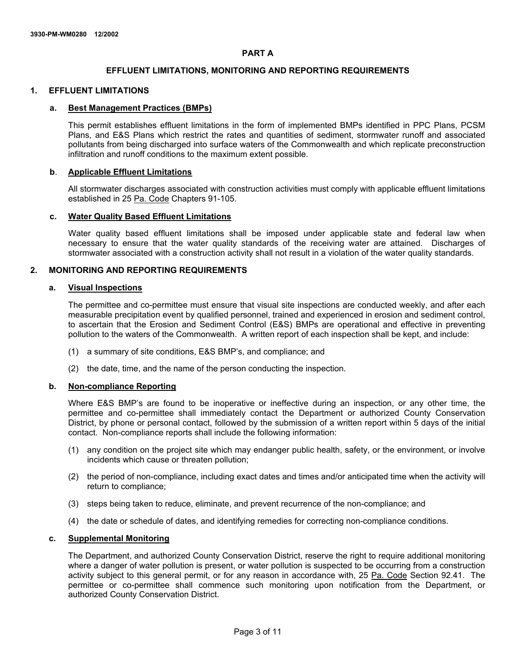#### **PART A**

# **EFFLUENT LIMITATIONS, MONITORING AND REPORTING REQUIREMENTS**

# **1. EFFLUENT LIMITATIONS**

#### **a. Best Management Practices (BMPs)**

This permit establishes effluent limitations in the form of implemented BMPs identified in PPC Plans, PCSM Plans, and E&S Plans which restrict the rates and quantities of sediment, stormwater runoff and associated pollutants from being discharged into surface waters of the Commonwealth and which replicate preconstruction infiltration and runoff conditions to the maximum extent possible.

#### **b**. **Applicable Effluent Limitations**

All stormwater discharges associated with construction activities must comply with applicable effluent limitations established in 25 Pa. Code Chapters 91-105.

#### **c. Water Quality Based Effluent Limitations**

Water quality based effluent limitations shall be imposed under applicable state and federal law when necessary to ensure that the water quality standards of the receiving water are attained. Discharges of stormwater associated with a construction activity shall not result in a violation of the water quality standards.

#### **2. MONITORING AND REPORTING REQUIREMENTS**

# **a. Visual Inspections**

The permittee and co-permittee must ensure that visual site inspections are conducted weekly, and after each measurable precipitation event by qualified personnel, trained and experienced in erosion and sediment control, to ascertain that the Erosion and Sediment Control (E&S) BMPs are operational and effective in preventing pollution to the waters of the Commonwealth. A written report of each inspection shall be kept, and include:

- (1) a summary of site conditions, E&S BMP's, and compliance; and
- (2) the date, time, and the name of the person conducting the inspection.

#### **b. Non-compliance Reporting**

Where E&S BMP's are found to be inoperative or ineffective during an inspection, or any other time, the permittee and co-permittee shall immediately contact the Department or authorized County Conservation District, by phone or personal contact, followed by the submission of a written report within 5 days of the initial contact. Non-compliance reports shall include the following information:

- (1) any condition on the project site which may endanger public health, safety, or the environment, or involve incidents which cause or threaten pollution;
- (2) the period of non-compliance, including exact dates and times and/or anticipated time when the activity will return to compliance;
- (3) steps being taken to reduce, eliminate, and prevent recurrence of the non-compliance; and
- (4) the date or schedule of dates, and identifying remedies for correcting non-compliance conditions.

# **c. Supplemental Monitoring**

The Department, and authorized County Conservation District, reserve the right to require additional monitoring where a danger of water pollution is present, or water pollution is suspected to be occurring from a construction activity subject to this general permit, or for any reason in accordance with, 25 Pa. Code Section 92.41. The permittee or co-permittee shall commence such monitoring upon notification from the Department, or authorized County Conservation District.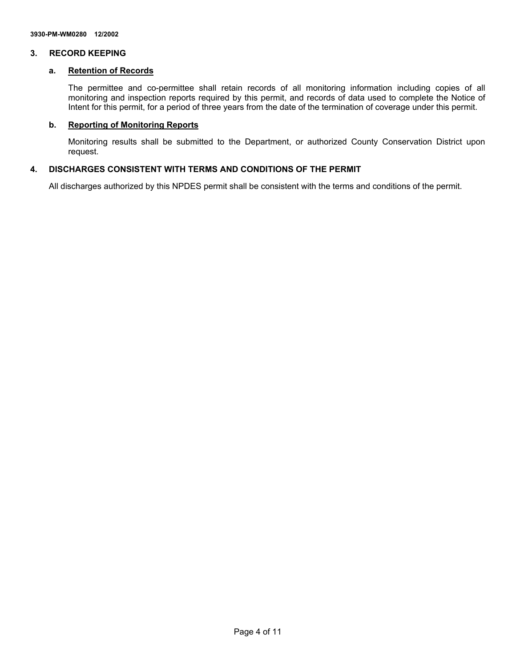#### **3. RECORD KEEPING**

#### **a. Retention of Records**

The permittee and co-permittee shall retain records of all monitoring information including copies of all monitoring and inspection reports required by this permit, and records of data used to complete the Notice of Intent for this permit, for a period of three years from the date of the termination of coverage under this permit.

#### **b. Reporting of Monitoring Reports**

Monitoring results shall be submitted to the Department, or authorized County Conservation District upon request.

# **4. DISCHARGES CONSISTENT WITH TERMS AND CONDITIONS OF THE PERMIT**

All discharges authorized by this NPDES permit shall be consistent with the terms and conditions of the permit.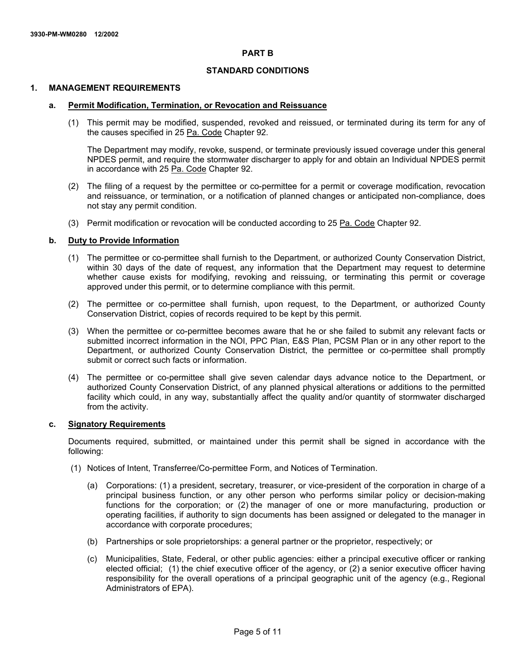#### **PART B**

# **STANDARD CONDITIONS**

#### **1. MANAGEMENT REQUIREMENTS**

#### **a. Permit Modification, Termination, or Revocation and Reissuance**

(1) This permit may be modified, suspended, revoked and reissued, or terminated during its term for any of the causes specified in 25 Pa. Code Chapter 92.

The Department may modify, revoke, suspend, or terminate previously issued coverage under this general NPDES permit, and require the stormwater discharger to apply for and obtain an Individual NPDES permit in accordance with 25 Pa. Code Chapter 92.

- (2) The filing of a request by the permittee or co-permittee for a permit or coverage modification, revocation and reissuance, or termination, or a notification of planned changes or anticipated non-compliance, does not stay any permit condition.
- (3) Permit modification or revocation will be conducted according to 25 Pa. Code Chapter 92.

#### **b. Duty to Provide Information**

- (1) The permittee or co-permittee shall furnish to the Department, or authorized County Conservation District, within 30 days of the date of request, any information that the Department may request to determine whether cause exists for modifying, revoking and reissuing, or terminating this permit or coverage approved under this permit, or to determine compliance with this permit.
- (2) The permittee or co-permittee shall furnish, upon request, to the Department, or authorized County Conservation District, copies of records required to be kept by this permit.
- (3) When the permittee or co-permittee becomes aware that he or she failed to submit any relevant facts or submitted incorrect information in the NOI, PPC Plan, E&S Plan, PCSM Plan or in any other report to the Department, or authorized County Conservation District, the permittee or co-permittee shall promptly submit or correct such facts or information.
- (4) The permittee or co-permittee shall give seven calendar days advance notice to the Department, or authorized County Conservation District, of any planned physical alterations or additions to the permitted facility which could, in any way, substantially affect the quality and/or quantity of stormwater discharged from the activity.

#### **c. Signatory Requirements**

Documents required, submitted, or maintained under this permit shall be signed in accordance with the following:

- (1) Notices of Intent, Transferree/Co-permittee Form, and Notices of Termination.
	- (a) Corporations: (1) a president, secretary, treasurer, or vice-president of the corporation in charge of a principal business function, or any other person who performs similar policy or decision-making functions for the corporation; or (2) the manager of one or more manufacturing, production or operating facilities, if authority to sign documents has been assigned or delegated to the manager in accordance with corporate procedures;
	- (b) Partnerships or sole proprietorships: a general partner or the proprietor, respectively; or
	- (c) Municipalities, State, Federal, or other public agencies: either a principal executive officer or ranking elected official; (1) the chief executive officer of the agency, or (2) a senior executive officer having responsibility for the overall operations of a principal geographic unit of the agency (e.g., Regional Administrators of EPA).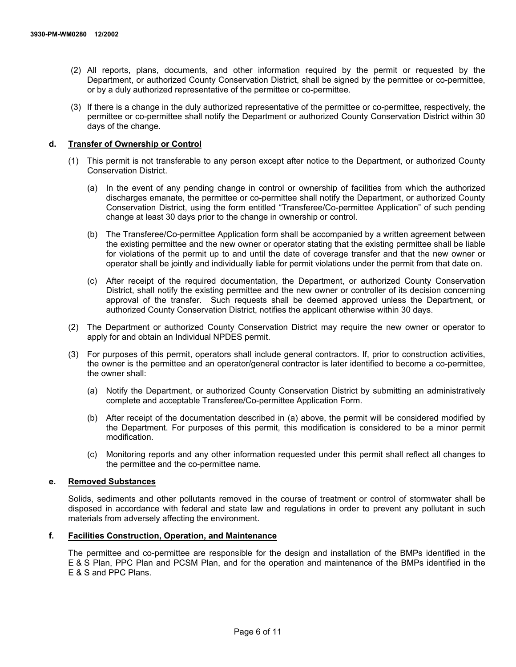- (2) All reports, plans, documents, and other information required by the permit or requested by the Department, or authorized County Conservation District, shall be signed by the permittee or co-permittee, or by a duly authorized representative of the permittee or co-permittee.
- (3) If there is a change in the duly authorized representative of the permittee or co-permittee, respectively, the permittee or co-permittee shall notify the Department or authorized County Conservation District within 30 days of the change.

#### **d. Transfer of Ownership or Control**

- (1) This permit is not transferable to any person except after notice to the Department, or authorized County Conservation District.
	- (a) In the event of any pending change in control or ownership of facilities from which the authorized discharges emanate, the permittee or co-permittee shall notify the Department, or authorized County Conservation District, using the form entitled "Transferee/Co-permittee Application" of such pending change at least 30 days prior to the change in ownership or control.
	- (b) The Transferee/Co-permittee Application form shall be accompanied by a written agreement between the existing permittee and the new owner or operator stating that the existing permittee shall be liable for violations of the permit up to and until the date of coverage transfer and that the new owner or operator shall be jointly and individually liable for permit violations under the permit from that date on.
	- (c) After receipt of the required documentation, the Department, or authorized County Conservation District, shall notify the existing permittee and the new owner or controller of its decision concerning approval of the transfer. Such requests shall be deemed approved unless the Department, or authorized County Conservation District, notifies the applicant otherwise within 30 days.
- (2) The Department or authorized County Conservation District may require the new owner or operator to apply for and obtain an Individual NPDES permit.
- (3) For purposes of this permit, operators shall include general contractors. If, prior to construction activities, the owner is the permittee and an operator/general contractor is later identified to become a co-permittee, the owner shall:
	- (a) Notify the Department, or authorized County Conservation District by submitting an administratively complete and acceptable Transferee/Co-permittee Application Form.
	- (b) After receipt of the documentation described in (a) above, the permit will be considered modified by the Department. For purposes of this permit, this modification is considered to be a minor permit modification.
	- (c) Monitoring reports and any other information requested under this permit shall reflect all changes to the permittee and the co-permittee name.

#### **e. Removed Substances**

Solids, sediments and other pollutants removed in the course of treatment or control of stormwater shall be disposed in accordance with federal and state law and regulations in order to prevent any pollutant in such materials from adversely affecting the environment.

#### **f. Facilities Construction, Operation, and Maintenance**

The permittee and co-permittee are responsible for the design and installation of the BMPs identified in the E & S Plan, PPC Plan and PCSM Plan, and for the operation and maintenance of the BMPs identified in the E & S and PPC Plans.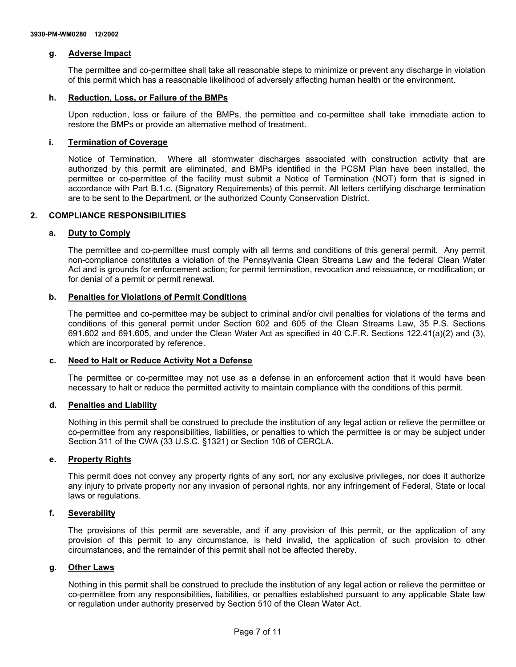# **g. Adverse Impact**

The permittee and co-permittee shall take all reasonable steps to minimize or prevent any discharge in violation of this permit which has a reasonable likelihood of adversely affecting human health or the environment.

# **h. Reduction, Loss, or Failure of the BMPs**

Upon reduction, loss or failure of the BMPs, the permittee and co-permittee shall take immediate action to restore the BMPs or provide an alternative method of treatment.

# **i. Termination of Coverage**

Notice of Termination. Where all stormwater discharges associated with construction activity that are authorized by this permit are eliminated, and BMPs identified in the PCSM Plan have been installed, the permittee or co-permittee of the facility must submit a Notice of Termination (NOT) form that is signed in accordance with Part B.1.c. (Signatory Requirements) of this permit. All letters certifying discharge termination are to be sent to the Department, or the authorized County Conservation District.

# **2. COMPLIANCE RESPONSIBILITIES**

# **a. Duty to Comply**

The permittee and co-permittee must comply with all terms and conditions of this general permit. Any permit non-compliance constitutes a violation of the Pennsylvania Clean Streams Law and the federal Clean Water Act and is grounds for enforcement action; for permit termination, revocation and reissuance, or modification; or for denial of a permit or permit renewal.

# **b. Penalties for Violations of Permit Conditions**

The permittee and co-permittee may be subject to criminal and/or civil penalties for violations of the terms and conditions of this general permit under Section 602 and 605 of the Clean Streams Law, 35 P.S. Sections 691.602 and 691.605, and under the Clean Water Act as specified in 40 C.F.R. Sections 122.41(a)(2) and (3), which are incorporated by reference.

# **c. Need to Halt or Reduce Activity Not a Defense**

The permittee or co-permittee may not use as a defense in an enforcement action that it would have been necessary to halt or reduce the permitted activity to maintain compliance with the conditions of this permit.

#### **d. Penalties and Liability**

Nothing in this permit shall be construed to preclude the institution of any legal action or relieve the permittee or co-permittee from any responsibilities, liabilities, or penalties to which the permittee is or may be subject under Section 311 of the CWA (33 U.S.C. §1321) or Section 106 of CERCLA.

#### **e. Property Rights**

This permit does not convey any property rights of any sort, nor any exclusive privileges, nor does it authorize any injury to private property nor any invasion of personal rights, nor any infringement of Federal, State or local laws or regulations.

# **f. Severability**

The provisions of this permit are severable, and if any provision of this permit, or the application of any provision of this permit to any circumstance, is held invalid, the application of such provision to other circumstances, and the remainder of this permit shall not be affected thereby.

# **g. Other Laws**

Nothing in this permit shall be construed to preclude the institution of any legal action or relieve the permittee or co-permittee from any responsibilities, liabilities, or penalties established pursuant to any applicable State law or regulation under authority preserved by Section 510 of the Clean Water Act.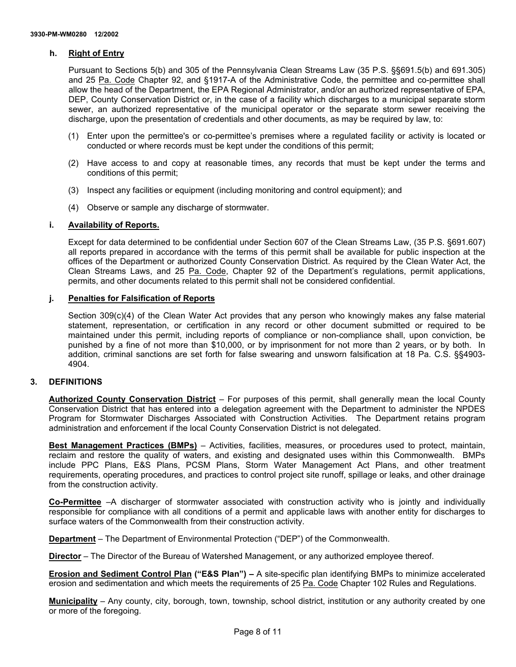# **h. Right of Entry**

Pursuant to Sections 5(b) and 305 of the Pennsylvania Clean Streams Law (35 P.S. §§691.5(b) and 691.305) and 25 Pa. Code Chapter 92, and §1917-A of the Administrative Code, the permittee and co-permittee shall allow the head of the Department, the EPA Regional Administrator, and/or an authorized representative of EPA, DEP, County Conservation District or, in the case of a facility which discharges to a municipal separate storm sewer, an authorized representative of the municipal operator or the separate storm sewer receiving the discharge, upon the presentation of credentials and other documents, as may be required by law, to:

- (1) Enter upon the permittee's or co-permittee's premises where a regulated facility or activity is located or conducted or where records must be kept under the conditions of this permit;
- (2) Have access to and copy at reasonable times, any records that must be kept under the terms and conditions of this permit;
- (3) Inspect any facilities or equipment (including monitoring and control equipment); and
- (4) Observe or sample any discharge of stormwater.

# **i. Availability of Reports.**

Except for data determined to be confidential under Section 607 of the Clean Streams Law, (35 P.S. §691.607) all reports prepared in accordance with the terms of this permit shall be available for public inspection at the offices of the Department or authorized County Conservation District. As required by the Clean Water Act, the Clean Streams Laws, and 25 Pa. Code, Chapter 92 of the Department's regulations, permit applications, permits, and other documents related to this permit shall not be considered confidential.

# **j. Penalties for Falsification of Reports**

Section 309(c)(4) of the Clean Water Act provides that any person who knowingly makes any false material statement, representation, or certification in any record or other document submitted or required to be maintained under this permit, including reports of compliance or non-compliance shall, upon conviction, be punished by a fine of not more than \$10,000, or by imprisonment for not more than 2 years, or by both. In addition, criminal sanctions are set forth for false swearing and unsworn falsification at 18 Pa. C.S. §§4903- 4904.

# **3. DEFINITIONS**

**Authorized County Conservation District** – For purposes of this permit, shall generally mean the local County Conservation District that has entered into a delegation agreement with the Department to administer the NPDES Program for Stormwater Discharges Associated with Construction Activities. The Department retains program administration and enforcement if the local County Conservation District is not delegated.

**Best Management Practices (BMPs)** – Activities, facilities, measures, or procedures used to protect, maintain, reclaim and restore the quality of waters, and existing and designated uses within this Commonwealth. BMPs include PPC Plans, E&S Plans, PCSM Plans, Storm Water Management Act Plans, and other treatment requirements, operating procedures, and practices to control project site runoff, spillage or leaks, and other drainage from the construction activity.

**Co-Permittee** –A discharger of stormwater associated with construction activity who is jointly and individually responsible for compliance with all conditions of a permit and applicable laws with another entity for discharges to surface waters of the Commonwealth from their construction activity.

**Department** – The Department of Environmental Protection ("DEP") of the Commonwealth.

**Director** – The Director of the Bureau of Watershed Management, or any authorized employee thereof.

**Erosion and Sediment Control Plan ("E&S Plan") –** A site-specific plan identifying BMPs to minimize accelerated erosion and sedimentation and which meets the requirements of 25 Pa. Code Chapter 102 Rules and Regulations.

**Municipality** – Any county, city, borough, town, township, school district, institution or any authority created by one or more of the foregoing.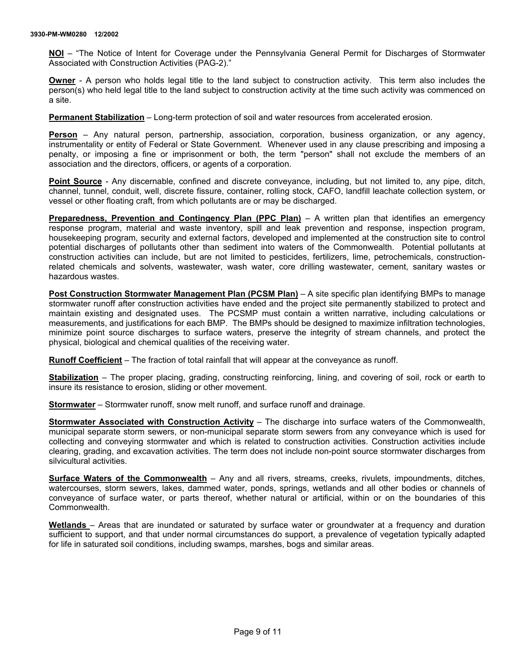**NOI** – "The Notice of Intent for Coverage under the Pennsylvania General Permit for Discharges of Stormwater Associated with Construction Activities (PAG-2)."

**Owner** - A person who holds legal title to the land subject to construction activity. This term also includes the person(s) who held legal title to the land subject to construction activity at the time such activity was commenced on a site.

**Permanent Stabilization** – Long-term protection of soil and water resources from accelerated erosion.

**Person** – Any natural person, partnership, association, corporation, business organization, or any agency, instrumentality or entity of Federal or State Government. Whenever used in any clause prescribing and imposing a penalty, or imposing a fine or imprisonment or both, the term "person" shall not exclude the members of an association and the directors, officers, or agents of a corporation.

**Point Source** - Any discernable, confined and discrete conveyance, including, but not limited to, any pipe, ditch, channel, tunnel, conduit, well, discrete fissure, container, rolling stock, CAFO, landfill leachate collection system, or vessel or other floating craft, from which pollutants are or may be discharged.

**Preparedness, Prevention and Contingency Plan (PPC Plan)** – A written plan that identifies an emergency response program, material and waste inventory, spill and leak prevention and response, inspection program, housekeeping program, security and external factors, developed and implemented at the construction site to control potential discharges of pollutants other than sediment into waters of the Commonwealth. Potential pollutants at construction activities can include, but are not limited to pesticides, fertilizers, lime, petrochemicals, constructionrelated chemicals and solvents, wastewater, wash water, core drilling wastewater, cement, sanitary wastes or hazardous wastes.

**Post Construction Stormwater Management Plan (PCSM Plan)** – A site specific plan identifying BMPs to manage stormwater runoff after construction activities have ended and the project site permanently stabilized to protect and maintain existing and designated uses. The PCSMP must contain a written narrative, including calculations or measurements, and justifications for each BMP. The BMPs should be designed to maximize infiltration technologies, minimize point source discharges to surface waters, preserve the integrity of stream channels, and protect the physical, biological and chemical qualities of the receiving water.

**Runoff Coefficient** – The fraction of total rainfall that will appear at the conveyance as runoff.

**Stabilization** – The proper placing, grading, constructing reinforcing, lining, and covering of soil, rock or earth to insure its resistance to erosion, sliding or other movement.

**Stormwater** – Stormwater runoff, snow melt runoff, and surface runoff and drainage.

**Stormwater Associated with Construction Activity** – The discharge into surface waters of the Commonwealth, municipal separate storm sewers, or non-municipal separate storm sewers from any conveyance which is used for collecting and conveying stormwater and which is related to construction activities. Construction activities include clearing, grading, and excavation activities. The term does not include non-point source stormwater discharges from silvicultural activities.

**Surface Waters of the Commonwealth** – Any and all rivers, streams, creeks, rivulets, impoundments, ditches, watercourses, storm sewers, lakes, dammed water, ponds, springs, wetlands and all other bodies or channels of conveyance of surface water, or parts thereof, whether natural or artificial, within or on the boundaries of this Commonwealth.

**Wetlands** – Areas that are inundated or saturated by surface water or groundwater at a frequency and duration sufficient to support, and that under normal circumstances do support, a prevalence of vegetation typically adapted for life in saturated soil conditions, including swamps, marshes, bogs and similar areas.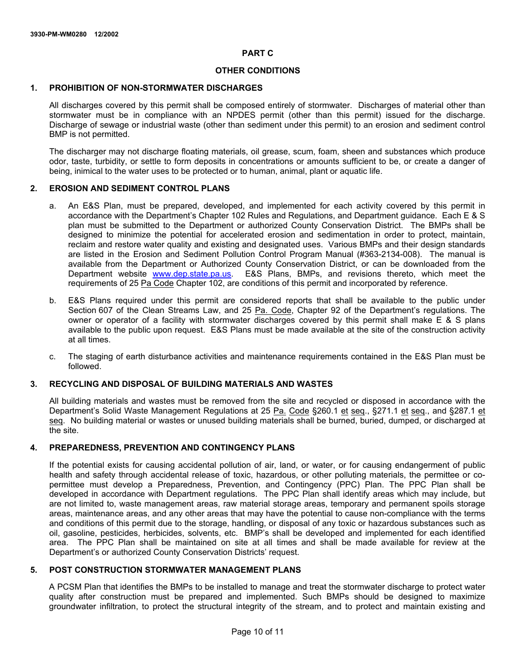#### **PART C**

# **OTHER CONDITIONS**

# **1. PROHIBITION OF NON-STORMWATER DISCHARGES**

All discharges covered by this permit shall be composed entirely of stormwater. Discharges of material other than stormwater must be in compliance with an NPDES permit (other than this permit) issued for the discharge. Discharge of sewage or industrial waste (other than sediment under this permit) to an erosion and sediment control BMP is not permitted.

The discharger may not discharge floating materials, oil grease, scum, foam, sheen and substances which produce odor, taste, turbidity, or settle to form deposits in concentrations or amounts sufficient to be, or create a danger of being, inimical to the water uses to be protected or to human, animal, plant or aquatic life.

#### **2. EROSION AND SEDIMENT CONTROL PLANS**

- a. An E&S Plan, must be prepared, developed, and implemented for each activity covered by this permit in accordance with the Department's Chapter 102 Rules and Regulations, and Department guidance. Each E & S plan must be submitted to the Department or authorized County Conservation District. The BMPs shall be designed to minimize the potential for accelerated erosion and sedimentation in order to protect, maintain, reclaim and restore water quality and existing and designated uses. Various BMPs and their design standards are listed in the Erosion and Sediment Pollution Control Program Manual (#363-2134-008). The manual is available from the Department or Authorized County Conservation District, or can be downloaded from the Department website www.dep.state.pa.us. E&S Plans, BMPs, and revisions thereto, which meet the requirements of 25 Pa Code Chapter 102, are conditions of this permit and incorporated by reference.
- b. E&S Plans required under this permit are considered reports that shall be available to the public under Section 607 of the Clean Streams Law, and 25 Pa. Code, Chapter 92 of the Department's regulations. The owner or operator of a facility with stormwater discharges covered by this permit shall make E & S plans available to the public upon request. E&S Plans must be made available at the site of the construction activity at all times.
- c. The staging of earth disturbance activities and maintenance requirements contained in the E&S Plan must be followed.

# **3. RECYCLING AND DISPOSAL OF BUILDING MATERIALS AND WASTES**

All building materials and wastes must be removed from the site and recycled or disposed in accordance with the Department's Solid Waste Management Regulations at 25 Pa. Code §260.1 et seq., §271.1 et seq., and §287.1 et seq. No building material or wastes or unused building materials shall be burned, buried, dumped, or discharged at the site.

#### **4. PREPAREDNESS, PREVENTION AND CONTINGENCY PLANS**

If the potential exists for causing accidental pollution of air, land, or water, or for causing endangerment of public health and safety through accidental release of toxic, hazardous, or other polluting materials, the permittee or copermittee must develop a Preparedness, Prevention, and Contingency (PPC) Plan. The PPC Plan shall be developed in accordance with Department regulations. The PPC Plan shall identify areas which may include, but are not limited to, waste management areas, raw material storage areas, temporary and permanent spoils storage areas, maintenance areas, and any other areas that may have the potential to cause non-compliance with the terms and conditions of this permit due to the storage, handling, or disposal of any toxic or hazardous substances such as oil, gasoline, pesticides, herbicides, solvents, etc. BMP's shall be developed and implemented for each identified area. The PPC Plan shall be maintained on site at all times and shall be made available for review at the Department's or authorized County Conservation Districts' request.

# **5. POST CONSTRUCTION STORMWATER MANAGEMENT PLANS**

A PCSM Plan that identifies the BMPs to be installed to manage and treat the stormwater discharge to protect water quality after construction must be prepared and implemented. Such BMPs should be designed to maximize groundwater infiltration, to protect the structural integrity of the stream, and to protect and maintain existing and